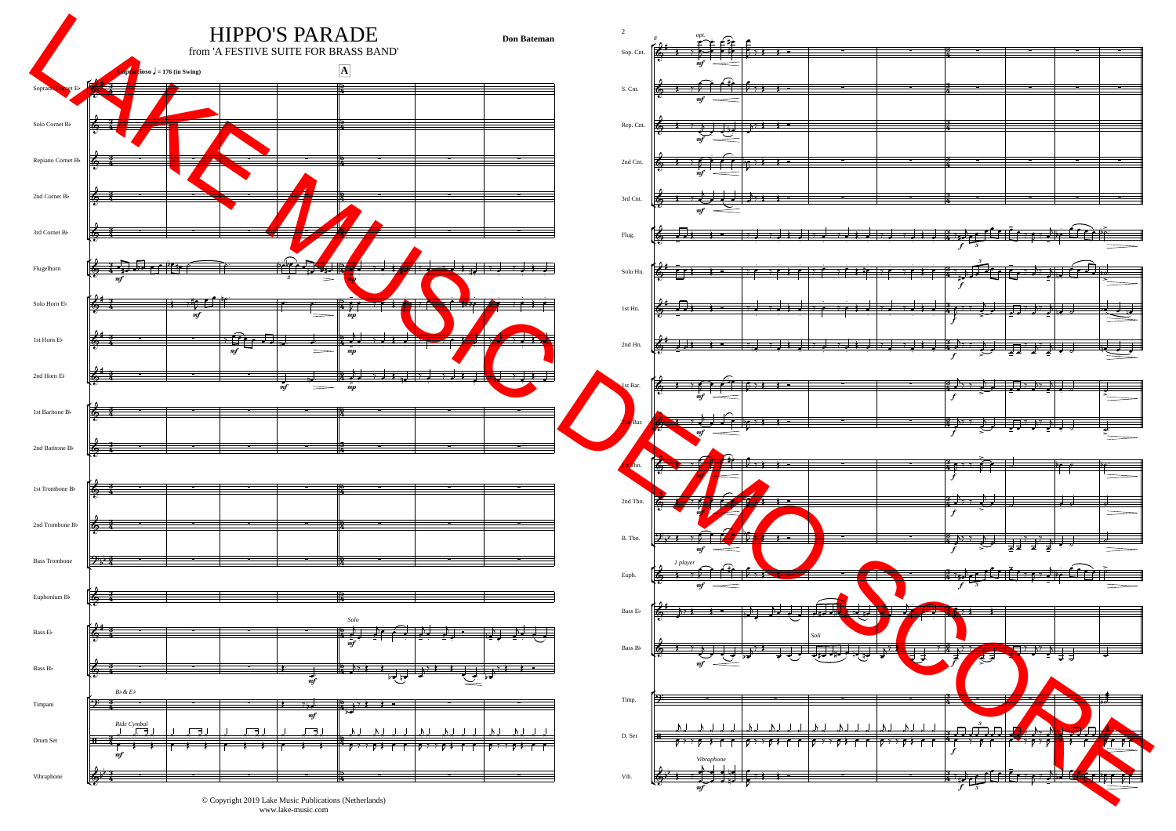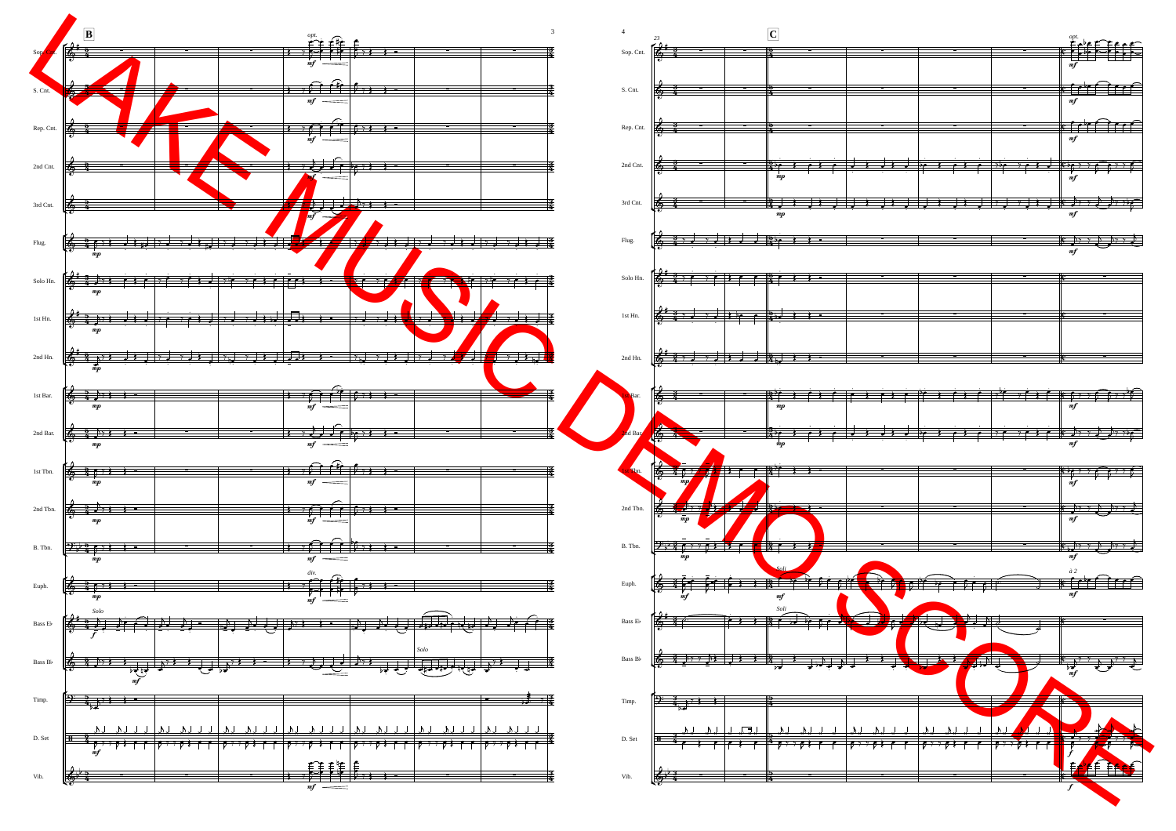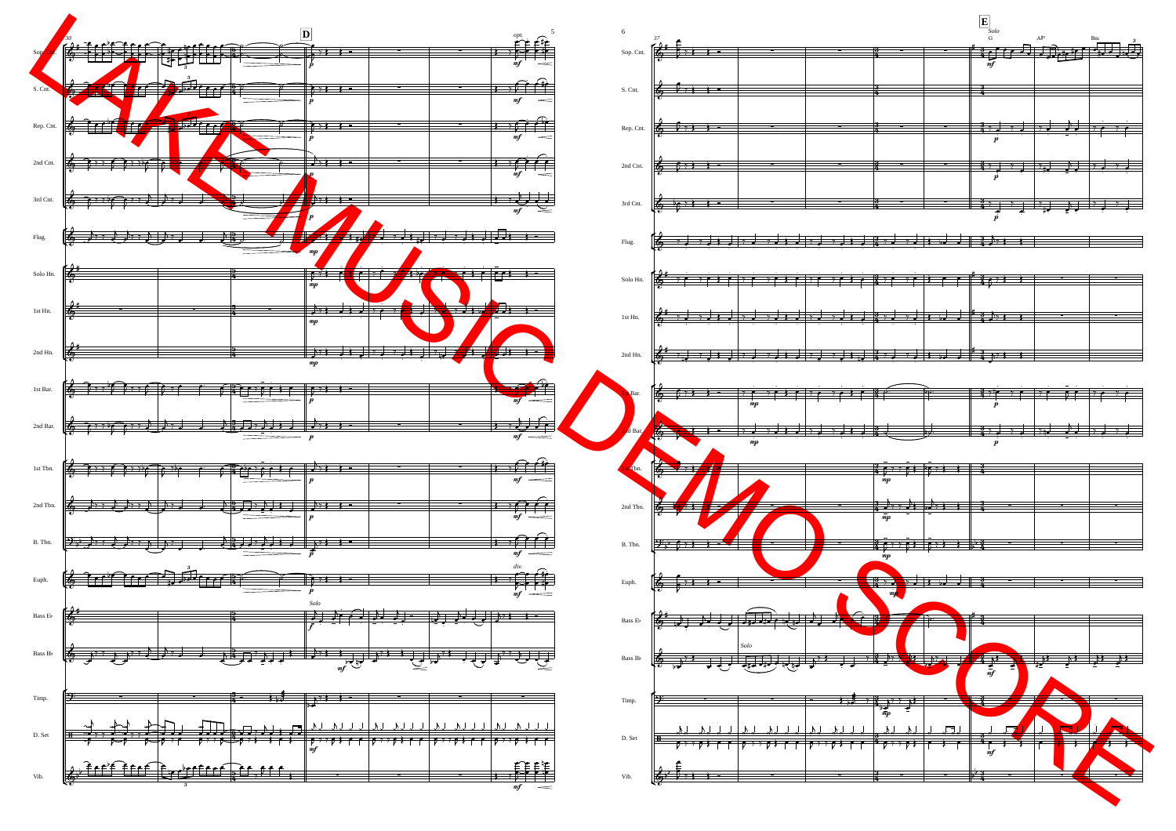